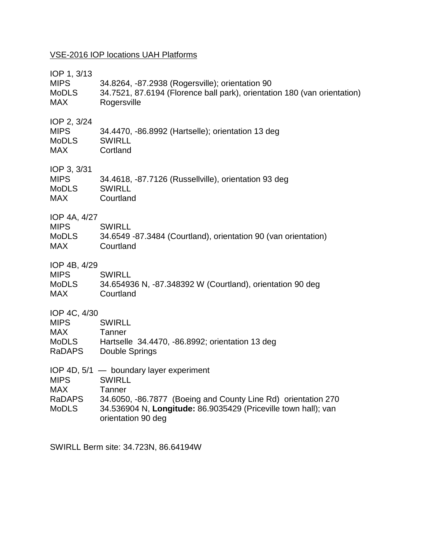## VSE-2016 IOP locations UAH Platforms

| IOP 2, 3/24<br><b>MIPS</b><br>34.4470, -86.8992 (Hartselle); orientation 13 deg<br><b>SWIRLL</b><br><b>MoDLS</b><br><b>MAX</b><br>Cortland<br>IOP 3, 3/31<br><b>MIPS</b><br>34.4618, -87.7126 (Russellville), orientation 93 deg<br><b>SWIRLL</b><br><b>MoDLS</b><br><b>MAX</b><br>Courtland<br>IOP 4A, 4/27<br><b>MIPS</b><br><b>SWIRLL</b><br><b>MoDLS</b><br>34.6549 -87.3484 (Courtland), orientation 90 (van orientation)<br><b>MAX</b><br>Courtland<br>IOP 4B, 4/29<br><b>MIPS</b><br><b>SWIRLL</b><br>34.654936 N, -87.348392 W (Courtland), orientation 90 deg<br><b>MoDLS</b><br>Courtland<br><b>MAX</b><br>IOP 4C, 4/30<br><b>MIPS</b><br><b>SWIRLL</b><br><b>MAX</b><br>Tanner<br><b>MoDLS</b><br>Hartselle 34.4470, -86.8992; orientation 13 deg<br><b>RaDAPS</b><br>Double Springs<br>IOP 4D, 5/1 - boundary layer experiment<br><b>MIPS</b><br><b>SWIRLL</b><br><b>MAX</b><br>Tanner<br>34.6050, -86.7877 (Boeing and County Line Rd) orientation 270<br><b>RaDAPS</b><br><b>MoDLS</b><br>34.536904 N, Longitude: 86.9035429 (Priceville town hall); van<br>orientation 90 deg | IOP 1, 3/13<br><b>MIPS</b><br><b>MoDLS</b><br><b>MAX</b> | 34.8264, -87.2938 (Rogersville); orientation 90<br>34.7521, 87.6194 (Florence ball park), orientation 180 (van orientation)<br>Rogersville |
|----------------------------------------------------------------------------------------------------------------------------------------------------------------------------------------------------------------------------------------------------------------------------------------------------------------------------------------------------------------------------------------------------------------------------------------------------------------------------------------------------------------------------------------------------------------------------------------------------------------------------------------------------------------------------------------------------------------------------------------------------------------------------------------------------------------------------------------------------------------------------------------------------------------------------------------------------------------------------------------------------------------------------------------------------------------------------------------------|----------------------------------------------------------|--------------------------------------------------------------------------------------------------------------------------------------------|
|                                                                                                                                                                                                                                                                                                                                                                                                                                                                                                                                                                                                                                                                                                                                                                                                                                                                                                                                                                                                                                                                                              |                                                          |                                                                                                                                            |
|                                                                                                                                                                                                                                                                                                                                                                                                                                                                                                                                                                                                                                                                                                                                                                                                                                                                                                                                                                                                                                                                                              |                                                          |                                                                                                                                            |
|                                                                                                                                                                                                                                                                                                                                                                                                                                                                                                                                                                                                                                                                                                                                                                                                                                                                                                                                                                                                                                                                                              |                                                          |                                                                                                                                            |
|                                                                                                                                                                                                                                                                                                                                                                                                                                                                                                                                                                                                                                                                                                                                                                                                                                                                                                                                                                                                                                                                                              |                                                          |                                                                                                                                            |
|                                                                                                                                                                                                                                                                                                                                                                                                                                                                                                                                                                                                                                                                                                                                                                                                                                                                                                                                                                                                                                                                                              |                                                          |                                                                                                                                            |
|                                                                                                                                                                                                                                                                                                                                                                                                                                                                                                                                                                                                                                                                                                                                                                                                                                                                                                                                                                                                                                                                                              |                                                          |                                                                                                                                            |

SWIRLL Berm site: 34.723N, 86.64194W